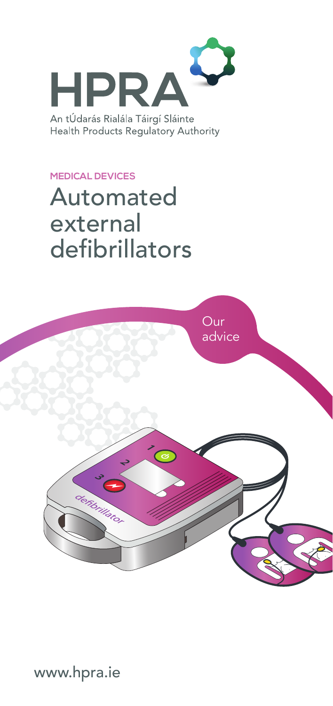

An tÚdarás Rialála Táirgí Sláinte Health Products Regulatory Authority

#### **MEDICAL DEVICES**

# Automated external defibrillators



www.hpra.ie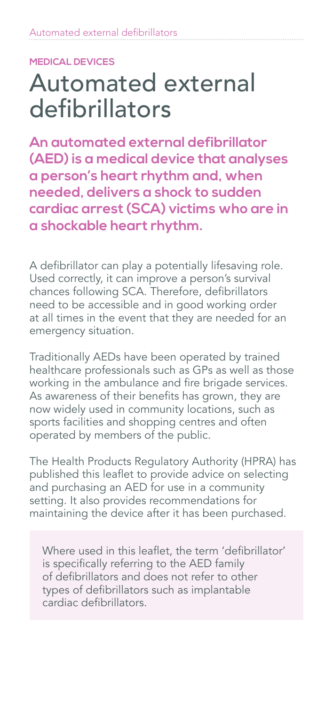#### **MEDICAL DEVICES**

# Automated external defibrillators

**An automated external defibrillator (AED) is a medical device that analyses a person's heart rhythm and, when needed, delivers a shock to sudden cardiac arrest (SCA) victims who are in a shockable heart rhythm.**

A defibrillator can play a potentially lifesaving role. Used correctly, it can improve a person's survival chances following SCA. Therefore, defibrillators need to be accessible and in good working order at all times in the event that they are needed for an emergency situation.

Traditionally AEDs have been operated by trained healthcare professionals such as GPs as well as those working in the ambulance and fire brigade services. As awareness of their benefits has grown, they are now widely used in community locations, such as sports facilities and shopping centres and often operated by members of the public.

The Health Products Regulatory Authority (HPRA) has published this leaflet to provide advice on selecting and purchasing an AED for use in a community setting. It also provides recommendations for maintaining the device after it has been purchased.

Where used in this leaflet, the term 'defibrillator' is specifically referring to the AED family of defibrillators and does not refer to other types of defibrillators such as implantable cardiac defibrillators.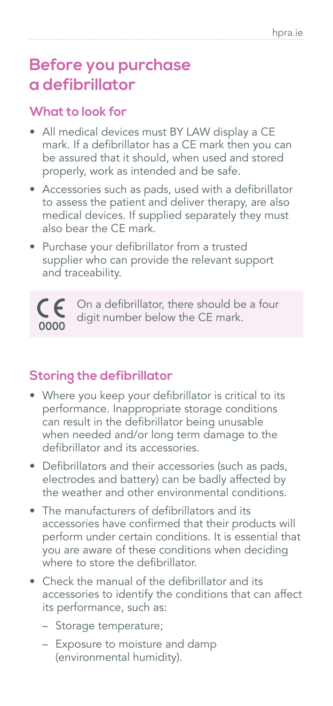## **Before you purchase a defibrillator**

### **What to look for**

- All medical devices must BY LAW display a CE mark. If a defibrillator has a CE mark then you can be assured that it should, when used and stored properly, work as intended and be safe.
- Accessories such as pads, used with a defibrillator to assess the patient and deliver therapy, are also medical devices. If supplied separately they must also bear the CE mark.
- Purchase your defibrillator from a trusted supplier who can provide the relevant support and traceability.



### **Storing the defibrillator**

- Where you keep your defibrillator is critical to its performance. Inappropriate storage conditions can result in the defibrillator being unusable when needed and/or long term damage to the defibrillator and its accessories.
- Defibrillators and their accessories (such as pads, electrodes and battery) can be badly affected by the weather and other environmental conditions.
- The manufacturers of defibrillators and its accessories have confirmed that their products will perform under certain conditions. It is essential that you are aware of these conditions when deciding where to store the defibrillator.
- Check the manual of the defibrillator and its accessories to identify the conditions that can affect its performance, such as:
	- Storage temperature;
	- Exposure to moisture and damp (environmental humidity).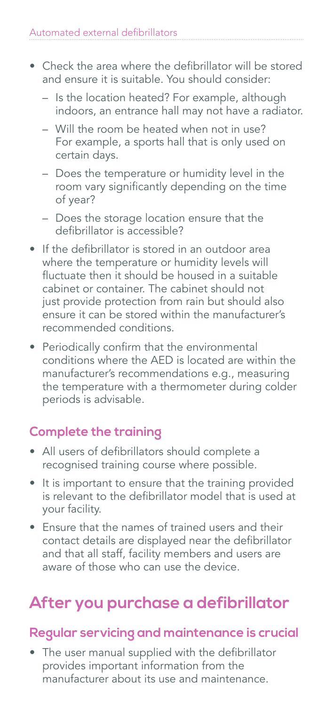- Check the area where the defibrillator will be stored and ensure it is suitable. You should consider:
	- Is the location heated? For example, although indoors, an entrance hall may not have a radiator.
	- Will the room be heated when not in use? For example, a sports hall that is only used on certain days.
	- Does the temperature or humidity level in the room vary significantly depending on the time of year?
	- Does the storage location ensure that the defibrillator is accessible?
- If the defibrillator is stored in an outdoor area where the temperature or humidity levels will fluctuate then it should be housed in a suitable cabinet or container. The cabinet should not just provide protection from rain but should also ensure it can be stored within the manufacturer's recommended conditions.
- Periodically confirm that the environmental conditions where the AED is located are within the manufacturer's recommendations e.g., measuring the temperature with a thermometer during colder periods is advisable.

### **Complete the training**

- All users of defibrillators should complete a recognised training course where possible.
- It is important to ensure that the training provided is relevant to the defibrillator model that is used at your facility.
- Ensure that the names of trained users and their contact details are displayed near the defibrillator and that all staff, facility members and users are aware of those who can use the device.

## **After you purchase a defibrillator**

### **Regular servicing and maintenance is crucial**

• The user manual supplied with the defibrillator provides important information from the manufacturer about its use and maintenance.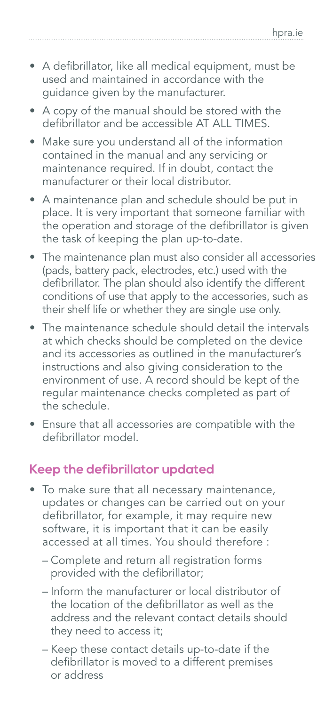- A defibrillator, like all medical equipment, must be used and maintained in accordance with the guidance given by the manufacturer.
- A copy of the manual should be stored with the defibrillator and be accessible AT ALL TIMES.
- Make sure you understand all of the information contained in the manual and any servicing or maintenance required. If in doubt, contact the manufacturer or their local distributor.
- A maintenance plan and schedule should be put in place. It is very important that someone familiar with the operation and storage of the defibrillator is given the task of keeping the plan up-to-date.
- The maintenance plan must also consider all accessories (pads, battery pack, electrodes, etc.) used with the defibrillator. The plan should also identify the different conditions of use that apply to the accessories, such as their shelf life or whether they are single use only.
- The maintenance schedule should detail the intervals at which checks should be completed on the device and its accessories as outlined in the manufacturer's instructions and also giving consideration to the environment of use. A record should be kept of the regular maintenance checks completed as part of the schedule.
- Ensure that all accessories are compatible with the defibrillator model.

### **Keep the defibrillator updated**

- To make sure that all necessary maintenance, updates or changes can be carried out on your defibrillator, for example, it may require new software, it is important that it can be easily accessed at all times. You should therefore :
	- Complete and return all registration forms provided with the defibrillator;
	- Inform the manufacturer or local distributor of the location of the defibrillator as well as the address and the relevant contact details should they need to access it;
	- Keep these contact details up-to-date if the defibrillator is moved to a different premises or address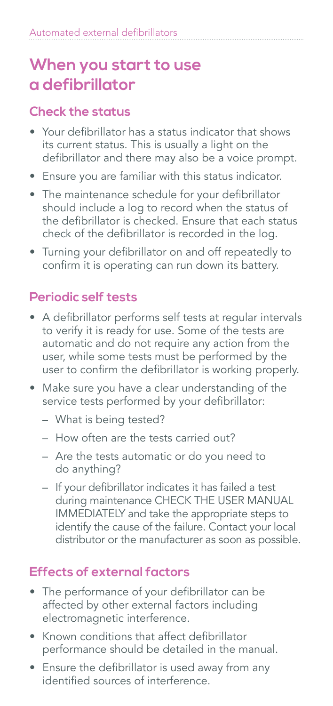### **When you start to use a defibrillator**

### **Check the status**

- Your defibrillator has a status indicator that shows its current status. This is usually a light on the defibrillator and there may also be a voice prompt.
- Ensure you are familiar with this status indicator.
- The maintenance schedule for your defibrillator should include a log to record when the status of the defibrillator is checked. Ensure that each status check of the defibrillator is recorded in the log.
- Turning your defibrillator on and off repeatedly to confirm it is operating can run down its battery.

### **Periodic self tests**

- A defibrillator performs self tests at regular intervals to verify it is ready for use. Some of the tests are automatic and do not require any action from the user, while some tests must be performed by the user to confirm the defibrillator is working properly.
- Make sure you have a clear understanding of the service tests performed by your defibrillator:
	- What is being tested?
	- How often are the tests carried out?
	- Are the tests automatic or do you need to do anything?
	- If your defibrillator indicates it has failed a test during maintenance CHECK THE USER MANUAL IMMEDIATELY and take the appropriate steps to identify the cause of the failure. Contact your local distributor or the manufacturer as soon as possible.

### **Effects of external factors**

- The performance of your defibrillator can be affected by other external factors including electromagnetic interference.
- Known conditions that affect defibrillator performance should be detailed in the manual.
- Ensure the defibrillator is used away from any identified sources of interference.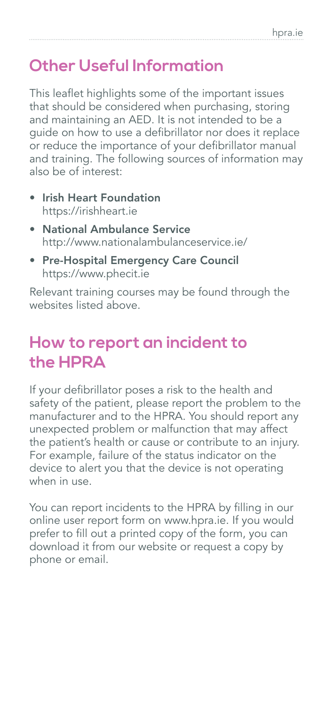## **Other Useful Information**

This leaflet highlights some of the important issues that should be considered when purchasing, storing and maintaining an AED. It is not intended to be a guide on how to use a defibrillator nor does it replace or reduce the importance of your defibrillator manual and training. The following sources of information may also be of interest:

- Irish Heart Foundation https://irishheart.ie
- National Ambulance Service http://www.nationalambulanceservice.ie/
- Pre-Hospital Emergency Care Council https://www.phecit.ie

Relevant training courses may be found through the websites listed above.

### **How to report an incident to the HPRA**

If your defibrillator poses a risk to the health and safety of the patient, please report the problem to the manufacturer and to the HPRA. You should report any unexpected problem or malfunction that may affect the patient's health or cause or contribute to an injury. For example, failure of the status indicator on the device to alert you that the device is not operating when in use.

You can report incidents to the HPRA by filling in our online user report form on www.hpra.ie. If you would prefer to fill out a printed copy of the form, you can download it from our website or request a copy by phone or email.